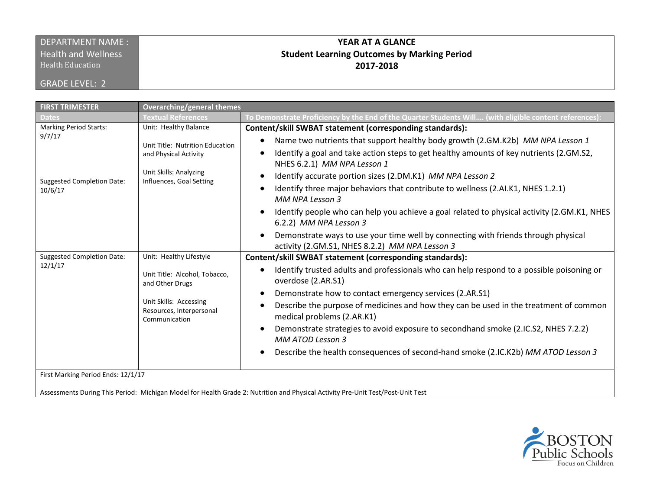## DEPARTMENT NAME : **Health and Wellness**

Health Education

GRADE LEVEL: 2

## **YEAR AT A GLANCE Student Learning Outcomes by Marking Period 2017-2018**

| <b>FIRST TRIMESTER</b>                                                                  | <b>Overarching/general themes</b>                                                                              |                                                                                                                                                                                                                                                                                                                                                                                                                                                                             |
|-----------------------------------------------------------------------------------------|----------------------------------------------------------------------------------------------------------------|-----------------------------------------------------------------------------------------------------------------------------------------------------------------------------------------------------------------------------------------------------------------------------------------------------------------------------------------------------------------------------------------------------------------------------------------------------------------------------|
| <b>Dates</b>                                                                            | <b>Textual References</b>                                                                                      | [7] To Demonstrate Proficiency by the End of the Quarter Students Will…. (with eligible content references                                                                                                                                                                                                                                                                                                                                                                  |
| <b>Marking Period Starts:</b><br>9/7/17<br><b>Suggested Completion Date:</b><br>10/6/17 | Unit: Healthy Balance                                                                                          | Content/skill SWBAT statement (corresponding standards):                                                                                                                                                                                                                                                                                                                                                                                                                    |
|                                                                                         | Unit Title: Nutrition Education<br>and Physical Activity<br>Unit Skills: Analyzing<br>Influences, Goal Setting | Name two nutrients that support healthy body growth (2.GM.K2b) MM NPA Lesson 1<br>Identify a goal and take action steps to get healthy amounts of key nutrients (2.GM.S2,<br>NHES 6.2.1) MM NPA Lesson 1<br>Identify accurate portion sizes (2.DM.K1) MM NPA Lesson 2<br>Identify three major behaviors that contribute to wellness (2.AI.K1, NHES 1.2.1)<br>MM NPA Lesson 3<br>Identify people who can help you achieve a goal related to physical activity (2.GM.K1, NHES |
|                                                                                         |                                                                                                                | 6.2.2) MM NPA Lesson 3<br>Demonstrate ways to use your time well by connecting with friends through physical<br>activity (2.GM.S1, NHES 8.2.2) MM NPA Lesson 3                                                                                                                                                                                                                                                                                                              |
| <b>Suggested Completion Date:</b><br>12/1/17                                            | Unit: Healthy Lifestyle                                                                                        | Content/skill SWBAT statement (corresponding standards):                                                                                                                                                                                                                                                                                                                                                                                                                    |
|                                                                                         | Unit Title: Alcohol, Tobacco,<br>and Other Drugs                                                               | Identify trusted adults and professionals who can help respond to a possible poisoning or<br>overdose (2.AR.S1)                                                                                                                                                                                                                                                                                                                                                             |
|                                                                                         | Unit Skills: Accessing<br>Resources, Interpersonal<br>Communication                                            | Demonstrate how to contact emergency services (2.AR.S1)                                                                                                                                                                                                                                                                                                                                                                                                                     |
|                                                                                         |                                                                                                                | Describe the purpose of medicines and how they can be used in the treatment of common<br>$\bullet$<br>medical problems (2.AR.K1)                                                                                                                                                                                                                                                                                                                                            |
|                                                                                         |                                                                                                                | Demonstrate strategies to avoid exposure to secondhand smoke (2.IC.S2, NHES 7.2.2)<br>MM ATOD Lesson 3                                                                                                                                                                                                                                                                                                                                                                      |
|                                                                                         |                                                                                                                | Describe the health consequences of second-hand smoke (2.IC.K2b) MM ATOD Lesson 3<br>$\bullet$                                                                                                                                                                                                                                                                                                                                                                              |
| First Marking Period Ends: 12/1/17                                                      |                                                                                                                |                                                                                                                                                                                                                                                                                                                                                                                                                                                                             |

Assessments During This Period: Michigan Model for Health Grade 2: Nutrition and Physical Activity Pre-Unit Test/Post-Unit Test

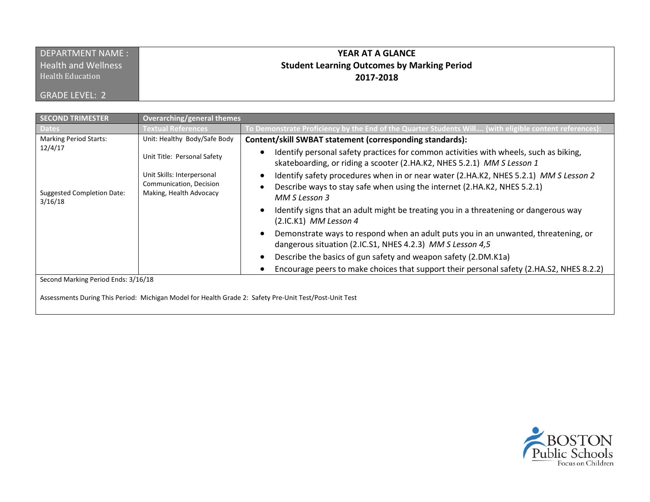| <b>DEPARTMENT NAME:</b>    | <b>YEAR AT A GLANCE</b>                            |
|----------------------------|----------------------------------------------------|
| <b>Health and Wellness</b> | <b>Student Learning Outcomes by Marking Period</b> |
| <b>Health Education</b>    | 2017-2018                                          |
| <b>GRADE LEVEL: 2</b>      |                                                    |

| <b>SECOND TRIMESTER</b>                                                                                                                       | Overarching/general themes                                                       |                                                                                                                                                                                   |
|-----------------------------------------------------------------------------------------------------------------------------------------------|----------------------------------------------------------------------------------|-----------------------------------------------------------------------------------------------------------------------------------------------------------------------------------|
| <b>Dates</b>                                                                                                                                  | Textual References                                                               | To Demonstrate Proficiency by the End of the Quarter Students Will (with eligible content references):                                                                            |
| <b>Marking Period Starts:</b>                                                                                                                 | Unit: Healthy Body/Safe Body                                                     | Content/skill SWBAT statement (corresponding standards):                                                                                                                          |
| 12/4/17<br><b>Suggested Completion Date:</b><br>3/16/18                                                                                       | Unit Title: Personal Safety                                                      | Identify personal safety practices for common activities with wheels, such as biking,<br>skateboarding, or riding a scooter (2.HA.K2, NHES 5.2.1) MM S Lesson 1                   |
|                                                                                                                                               | Unit Skills: Interpersonal<br>Communication, Decision<br>Making, Health Advocacy | Identify safety procedures when in or near water (2.HA.K2, NHES 5.2.1) MM S Lesson 2<br>Describe ways to stay safe when using the internet (2.HA.K2, NHES 5.2.1)<br>MM S Lesson 3 |
|                                                                                                                                               |                                                                                  | Identify signs that an adult might be treating you in a threatening or dangerous way<br>$(2.IC.K1)$ MM Lesson 4                                                                   |
|                                                                                                                                               |                                                                                  | Demonstrate ways to respond when an adult puts you in an unwanted, threatening, or<br>dangerous situation (2.IC.S1, NHES 4.2.3) MM S Lesson 4,5                                   |
|                                                                                                                                               |                                                                                  | Describe the basics of gun safety and weapon safety (2.DM.K1a)                                                                                                                    |
|                                                                                                                                               |                                                                                  | Encourage peers to make choices that support their personal safety (2.HA.S2, NHES 8.2.2)                                                                                          |
| Second Marking Period Ends: 3/16/18<br>Assessments During This Period: Michigan Model for Health Grade 2: Safety Pre-Unit Test/Post-Unit Test |                                                                                  |                                                                                                                                                                                   |